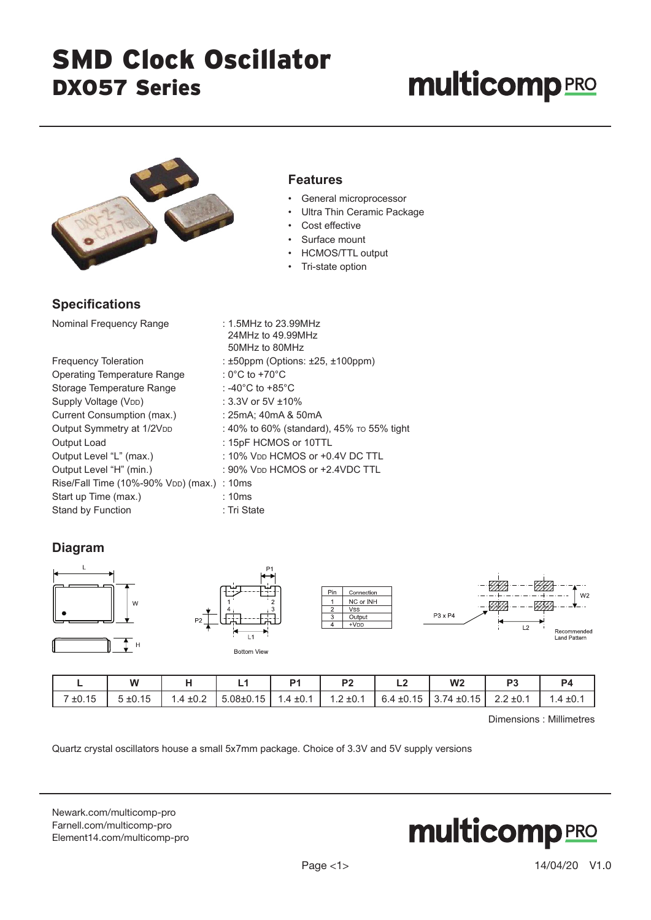## SMD Clock Oscillator DXO57 Series

# **multicomp**PRO



### **Specifications**

| Nominal Frequency Range                                 | : 1.5MHz to 23.99MHz<br>24MHz to 49.99MHz<br>50MHz to 80MHz |
|---------------------------------------------------------|-------------------------------------------------------------|
| <b>Frequency Toleration</b>                             | : $\pm 50$ ppm (Options: $\pm 25$ , $\pm 100$ ppm)          |
| <b>Operating Temperature Range</b>                      | : 0°C to +70°C                                              |
| Storage Temperature Range                               | : -40°C to +85°C                                            |
| Supply Voltage (V <sub>DD</sub> )                       | : 3.3V or 5V $\pm$ 10%                                      |
| Current Consumption (max.)                              | : 25mA; 40mA & 50mA                                         |
| Output Symmetry at 1/2VDD                               | : 40% to 60% (standard), 45% to 55% tight                   |
| Output Load                                             | : 15pF HCMOS or 10TTL                                       |
| Output Level "L" (max.)                                 | : 10% $V_{DD}$ HCMOS or +0.4V DC TTL                        |
| Output Level "H" (min.)                                 | : 90% $V_{DD}$ HCMOS or $+2.4$ VDC TTL                      |
| Rise/Fall Time (10%-90% V <sub>DD</sub> ) (max.) : 10ms |                                                             |
| Start up Time (max.)                                    | : 10ms                                                      |
| Stand by Function                                       | : Tri State                                                 |

### **Diagram**







|   | -------------- |                |                |                                                                                                               |                |    |
|---|----------------|----------------|----------------|---------------------------------------------------------------------------------------------------------------|----------------|----|
| W |                | P <sub>1</sub> | P <sub>2</sub> | W <sub>2</sub>                                                                                                | P <sub>3</sub> | P4 |
|   |                |                |                | 7 ±0.15   5 ±0.15   1.4 ±0.2   5.08±0.15   1.4 ±0.1   1.2 ±0.1   6.4 ±0.15   3.74 ±0.15   2.2 ±0.1   1.4 ±0.1 |                |    |

Dimensions : Millimetres

Quartz crystal oscillators house a small 5x7mm package. Choice of 3.3V and 5V supply versions

[Newark.com/multicomp-](https://www.newark.com/multicomp-pro)pro [Farnell.com/multicomp](https://www.farnell.com/multicomp-pro)-pro [Element14.com/multicomp-pro](https://element14.com/multicomp-pro)